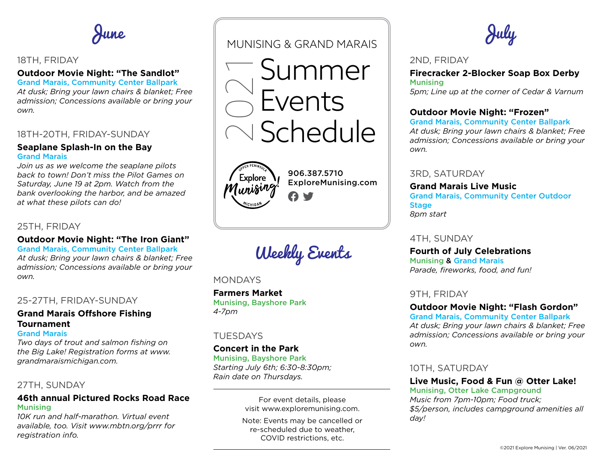June

# 18TH, FRIDAY

#### **Outdoor Movie Night: "The Sandlot"** Grand Marais, Community Center Ballpark

*At dusk; Bring your lawn chairs & blanket; Free admission; Concessions available or bring your own.*

# 18TH-20TH, FRIDAY-SUNDAY

#### **Seaplane Splash-In on the Bay** Grand Marais

*Join us as we welcome the seaplane pilots back to town! Don't miss the Pilot Games on Saturday, June 19 at 2pm. Watch from the bank overlooking the harbor, and be amazed at what these pilots can do!*

# 25TH, FRIDAY

#### **Outdoor Movie Night: "The Iron Giant"**

Grand Marais, Community Center Ballpark *At dusk; Bring your lawn chairs & blanket; Free admission; Concessions available or bring your own.*

# 25-27TH, FRIDAY-SUNDAY

# **Grand Marais Offshore Fishing Tournament**

#### Grand Marais

*Two days of trout and salmon fishing on the Big Lake! Registration forms at [www.](https://www.grandmaraismichigan.com) [grandmaraismichigan.com](https://www.grandmaraismichigan.com).*

#### 27TH, SUNDAY

# **46th annual Pictured Rocks Road Race** Munising

*10K run and half-marathon. Virtual event available, too. Visit [www.mbtn.org/prrr](https://www.mbtn.org/prrr) for registration info.*

# MUNISING & GRAND MARAIS

Summer Events 2021 Schedule



906.387.5710 [ExploreMunising.com](https://www.ExploreMunising.com)  $\boldsymbol{\theta}$  y

Weekly Events

#### **MONDAYS**

**Farmers Market** Munising, Bayshore Park *4-7pm*

# TUESDAYS

# **Concert in the Park**

Munising, Bayshore Park *Starting July 6th; 6:30-8:30pm; Rain date on Thursdays.*

> For event details, please visit [www.exploremunising.com](https://www.exploremunising.com).

Note: Events may be cancelled or re-scheduled due to weather, COVID restrictions, etc.

July

#### 2ND, FRIDAY

**Firecracker 2-Blocker Soap Box Derby** Munising *5pm; Line up at the corner of Cedar & Varnum*

# **Outdoor Movie Night: "Frozen"**

Grand Marais, Community Center Ballpark *At dusk; Bring your lawn chairs & blanket; Free admission; Concessions available or bring your own.*

3RD, SATURDAY

**Grand Marais Live Music** Grand Marais, Community Center Outdoor **Stage** *8pm start*

4TH, SUNDAY

**Fourth of July Celebrations** Munising & Grand Marais *Parade, fireworks, food, and fun!*

#### 9TH, FRIDAY

# **Outdoor Movie Night: "Flash Gordon"**

Grand Marais, Community Center Ballpark *At dusk; Bring your lawn chairs & blanket; Free admission; Concessions available or bring your own.*

# 10TH, SATURDAY

**Live Music, Food & Fun @ Otter Lake!** Munising, Otter Lake Campground

*Music from 7pm-10pm; Food truck; \$5/person, includes campground amenities all day!*